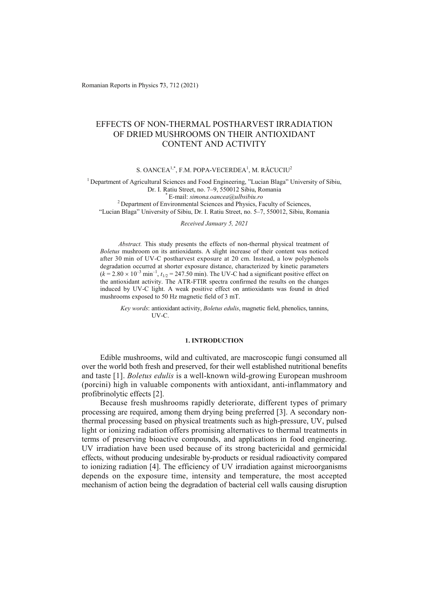Romanian Reports in Physics **7**3, 712 (2021)

# EFFECTS OF NON-THERMAL POSTHARVEST IRRADIATION OF DRIED MUSHROOMS ON THEIR ANTIOXIDANT CONTENT AND ACTIVITY

S. OANCEA<sup>1,\*</sup>, F.M. POPA-VECERDEA<sup>1</sup>, M. RĂCUCIU<sup>2</sup>

1 Department of Agricultural Sciences and Food Engineering, "Lucian Blaga" University of Sibiu, Dr. I. Ratiu Street, no. 7–9, 550012 Sibiu, Romania \* E-mail: *simona.oancea@ulbsibiu.ro* 2 Department of Environmental Sciences and Physics, Faculty of Sciences,

"Lucian Blaga" University of Sibiu, Dr. I. Ratiu Street, no. 5–7, 550012, Sibiu, Romania

## *Received January 5, 2021*

*Abstract.* This study presents the effects of non-thermal physical treatment of *Boletus* mushroom on its antioxidants. A slight increase of their content was noticed after 30 min of UV-C postharvest exposure at 20 cm. Instead, a low polyphenols degradation occurred at shorter exposure distance, characterized by kinetic parameters  $(k = 2.80 \times 10^{-3} \text{ min}^{-1}$ ,  $t_{1/2} = 247.50 \text{ min}$ ). The UV-C had a significant positive effect on the antioxidant activity. The ATR-FTIR spectra confirmed the results on the changes induced by UV-C light. A weak positive effect on antioxidants was found in dried mushrooms exposed to 50 Hz magnetic field of 3 mT.

*Key words*: antioxidant activity, *Boletus edulis*, magnetic field, phenolics, tannins, UV-C.

#### **1. INTRODUCTION**

Edible mushrooms, wild and cultivated, are macroscopic fungi consumed all over the world both fresh and preserved, for their well established nutritional benefits and taste [1]. *Boletus edulis* is a well-known wild-growing European mushroom (porcini) high in valuable components with antioxidant, anti-inflammatory and profibrinolytic effects [2].

Because fresh mushrooms rapidly deteriorate, different types of primary processing are required, among them drying being preferred [3]. A secondary nonthermal processing based on physical treatments such as high-pressure, UV, pulsed light or ionizing radiation offers promising alternatives to thermal treatments in terms of preserving bioactive compounds, and applications in food engineering. UV irradiation have been used because of its strong bactericidal and germicidal effects, without producing undesirable by-products or residual radioactivity compared to ionizing radiation [4]. The efficiency of UV irradiation against microorganisms depends on the exposure time, intensity and temperature, the most accepted mechanism of action being the degradation of bacterial cell walls causing disruption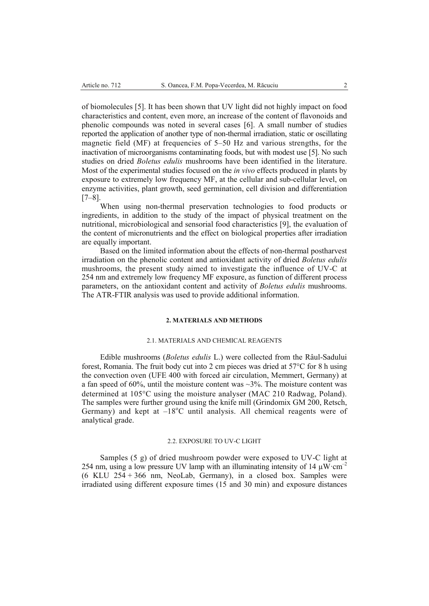of biomolecules [5]. It has been shown that UV light did not highly impact on food characteristics and content, even more, an increase of the content of flavonoids and phenolic compounds was noted in several cases [6]. A small number of studies reported the application of another type of non-thermal irradiation, static or oscillating magnetic field (MF) at frequencies of 5–50 Hz and various strengths, for the inactivation of microorganisms contaminating foods, but with modest use [5]. No such studies on dried *Boletus edulis* mushrooms have been identified in the literature. Most of the experimental studies focused on the *in vivo* effects produced in plants by exposure to extremely low frequency MF, at the cellular and sub-cellular level, on enzyme activities, plant growth, seed germination, cell division and differentiation [7–8].

When using non-thermal preservation technologies to food products or ingredients, in addition to the study of the impact of physical treatment on the nutritional, microbiological and sensorial food characteristics [9], the evaluation of the content of micronutrients and the effect on biological properties after irradiation are equally important.

Based on the limited information about the effects of non-thermal postharvest irradiation on the phenolic content and antioxidant activity of dried *Boletus edulis* mushrooms, the present study aimed to investigate the influence of UV-C at 254 nm and extremely low frequency MF exposure, as function of different process parameters, on the antioxidant content and activity of *Boletus edulis* mushrooms. The ATR-FTIR analysis was used to provide additional information.

#### **2. MATERIALS AND METHODS**

#### 2.1. MATERIALS AND CHEMICAL REAGENTS

Edible mushrooms (*Boletus edulis* L.) were collected from the Râul-Sadului forest, Romania. The fruit body cut into 2 cm pieces was dried at  $57^{\circ}$ C for 8 h using the convection oven (UFE 400 with forced air circulation, Memmert, Germany) at a fan speed of 60%, until the moisture content was  $\sim$ 3%. The moisture content was determined at 105°C using the moisture analyser (MAC 210 Radwag, Poland). The samples were further ground using the knife mill (Grindomix GM 200, Retsch, Germany) and kept at  $-18^{\circ}$ C until analysis. All chemical reagents were of analytical grade.

#### 2.2. EXPOSURE TO UV-C LIGHT

Samples (5 g) of dried mushroom powder were exposed to UV-C light at 254 nm, using a low pressure UV lamp with an illuminating intensity of 14  $\mu$ W·cm<sup>-2</sup> (6 KLU 254 + 366 nm, NeoLab, Germany), in a closed box. Samples were irradiated using different exposure times (15 and 30 min) and exposure distances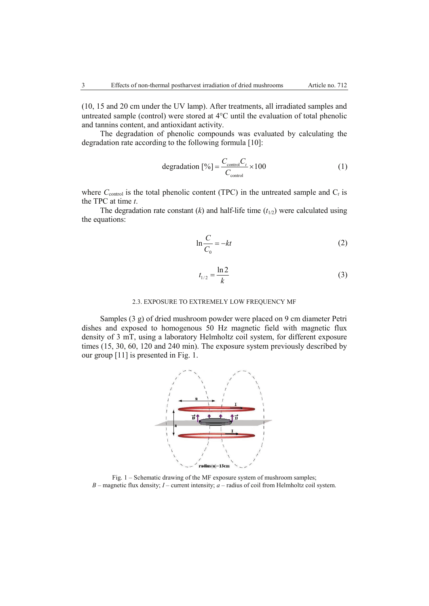(10, 15 and 20 cm under the UV lamp). After treatments, all irradiated samples and untreated sample (control) were stored at  $4^{\circ}$ C until the evaluation of total phenolic and tannins content, and antioxidant activity.

The degradation of phenolic compounds was evaluated by calculating the degradation rate according to the following formula [10]:

$$
\text{degradation} \left[ \% \right] = \frac{C_{\text{control}} C_t}{C_{\text{control}}} \times 100 \tag{1}
$$

where  $C_{control}$  is the total phenolic content (TPC) in the untreated sample and  $C_t$  is the TPC at time *t*.

The degradation rate constant  $(k)$  and half-life time  $(t_{1/2})$  were calculated using the equations:

$$
\ln \frac{C}{C_0} = -kt \tag{2}
$$

$$
t_{1/2} = \frac{\ln 2}{k}
$$
 (3)

#### 2.3. EXPOSURE TO EXTREMELY LOW FREQUENCY MF

Samples (3 g) of dried mushroom powder were placed on 9 cm diameter Petri dishes and exposed to homogenous 50 Hz magnetic field with magnetic flux density of 3 mT, using a laboratory Helmholtz coil system, for different exposure times (15, 30, 60, 120 and 240 min). The exposure system previously described by our group [11] is presented in Fig. 1.



Fig. 1 – Schematic drawing of the MF exposure system of mushroom samples; *B* – magnetic flux density; *I* – current intensity; *a* – radius of coil from Helmholtz coil system.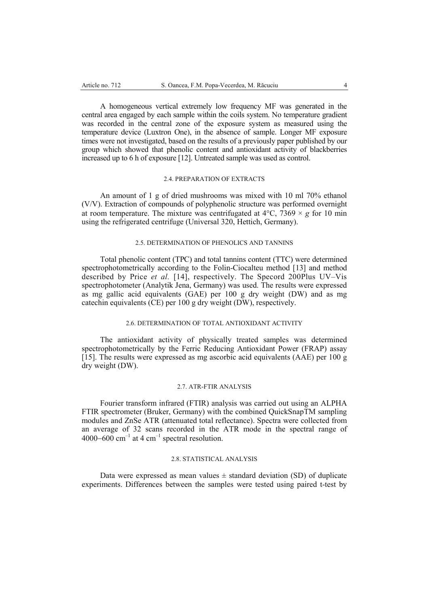A homogeneous vertical extremely low frequency MF was generated in the central area engaged by each sample within the coils system. No temperature gradient was recorded in the central zone of the exposure system as measured using the temperature device (Luxtron One), in the absence of sample. Longer MF exposure times were not investigated, based on the results of a previously paper published by our group which showed that phenolic content and antioxidant activity of blackberries increased up to 6 h of exposure [12]. Untreated sample was used as control.

## 2.4. PREPARATION OF EXTRACTS

An amount of 1 g of dried mushrooms was mixed with 10 ml 70% ethanol (V/V). Extraction of compounds of polyphenolic structure was performed overnight at room temperature. The mixture was centrifugated at  $4^{\circ}$ C,  $7369 \times g$  for 10 min using the refrigerated centrifuge (Universal 320, Hettich, Germany).

## 2.5. DETERMINATION OF PHENOLICS AND TANNINS

Total phenolic content (TPC) and total tannins content (TTC) were determined spectrophotometrically according to the Folin-Ciocalteu method [13] and method described by Price *et al.* [14], respectively. The Specord 200Plus UV–Vis spectrophotometer (Analytik Jena, Germany) was used. The results were expressed as mg gallic acid equivalents (GAE) per 100 g dry weight (DW) and as mg catechin equivalents (CE) per 100 g dry weight (DW), respectively.

#### 2.6. DETERMINATION OF TOTAL ANTIOXIDANT ACTIVITY

The antioxidant activity of physically treated samples was determined spectrophotometrically by the Ferric Reducing Antioxidant Power (FRAP) assay [15]. The results were expressed as mg ascorbic acid equivalents (AAE) per 100 g dry weight (DW).

#### 2.7. ATR-FTIR ANALYSIS

Fourier transform infrared (FTIR) analysis was carried out using an ALPHA FTIR spectrometer (Bruker, Germany) with the combined QuickSnapTM sampling modules and ZnSe ATR (attenuated total reflectance). Spectra were collected from an average of 32 scans recorded in the ATR mode in the spectral range of 4000–600 cm<sup>-1</sup> at 4 cm<sup>-1</sup> spectral resolution.

### 2.8. STATISTICAL ANALYSIS

Data were expressed as mean values  $\pm$  standard deviation (SD) of duplicate experiments. Differences between the samples were tested using paired t-test by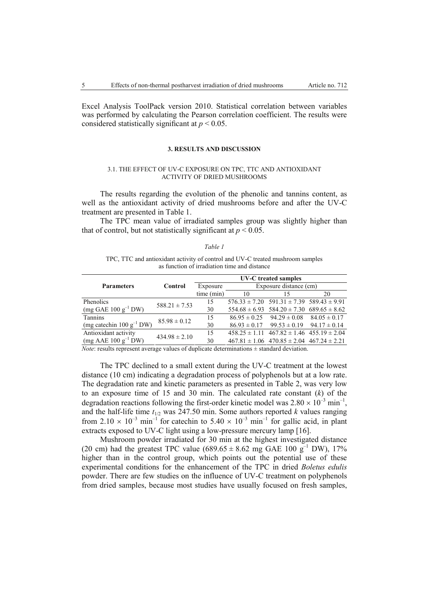Excel Analysis ToolPack version 2010. Statistical correlation between variables was performed by calculating the Pearson correlation coefficient. The results were considered statistically significant at *p* < 0.05.

#### **3. RESULTS AND DISCUSSION**

#### 3.1. THE EFFECT OF UV-C EXPOSURE ON TPC, TTC AND ANTIOXIDANT ACTIVITY OF DRIED MUSHROOMS

The results regarding the evolution of the phenolic and tannins content, as well as the antioxidant activity of dried mushrooms before and after the UV-C treatment are presented in Table 1.

The TPC mean value of irradiated samples group was slightly higher than that of control, but not statistically significant at  $p \leq 0.05$ .

#### *Table 1*

TPC, TTC and antioxidant activity of control and UV-C treated mushroom samples as function of irradiation time and distance

| Control                               | UV-C treated samples |                        |                  |                                                                                                                                                                                                                                                                       |
|---------------------------------------|----------------------|------------------------|------------------|-----------------------------------------------------------------------------------------------------------------------------------------------------------------------------------------------------------------------------------------------------------------------|
|                                       | Exposure             | Exposure distance (cm) |                  |                                                                                                                                                                                                                                                                       |
|                                       | time (min)           | 10                     | 15               | 20                                                                                                                                                                                                                                                                    |
| $588.21 \pm 7.53$                     | 15                   |                        |                  |                                                                                                                                                                                                                                                                       |
|                                       | 30                   |                        |                  |                                                                                                                                                                                                                                                                       |
| (mg catechin $100 \text{ g}^{-1}$ DW) | 15                   |                        |                  | $84.05 \pm 0.17$                                                                                                                                                                                                                                                      |
|                                       | 30                   | $86.93 \pm 0.17$       | $99.53 \pm 0.19$ | $94.17 \pm 0.14$                                                                                                                                                                                                                                                      |
| $434.98 \pm 2.10$                     | 15                   |                        |                  |                                                                                                                                                                                                                                                                       |
|                                       | 30                   |                        |                  |                                                                                                                                                                                                                                                                       |
|                                       | $85.98 \pm 0.12$     |                        |                  | $576.33 \pm 7.20$ $591.31 \pm 7.39$ $589.43 \pm 9.91$<br>$554.68 \pm 6.93$ $584.20 \pm 7.30$ $689.65 \pm 8.62$<br>$86.95 \pm 0.25$ $94.29 \pm 0.08$<br>$458.25 \pm 1.11$ $467.82 \pm 1.46$ $455.19 \pm 2.04$<br>$467.81 \pm 1.06$ $470.85 \pm 2.04$ $467.24 \pm 2.21$ |

*Note*: results represent average values of duplicate determinations  $\pm$  standard deviation.

The TPC declined to a small extent during the UV-C treatment at the lowest distance (10 cm) indicating a degradation process of polyphenols but at a low rate. The degradation rate and kinetic parameters as presented in Table 2, was very low to an exposure time of 15 and 30 min. The calculated rate constant (*k*) of the degradation reactions following the first-order kinetic model was  $2.80 \times 10^{-3}$  min<sup>-1</sup>, and the half-life time  $t_{1/2}$  was 247.50 min. Some authors reported *k* values ranging from 2.10  $\times$  10<sup>-3</sup> min<sup>-1</sup> for catechin to 5.40  $\times$  10<sup>-3</sup> min<sup>-1</sup> for gallic acid, in plant extracts exposed to UV-C light using a low-pressure mercury lamp [16].

Mushroom powder irradiated for 30 min at the highest investigated distance (20 cm) had the greatest TPC value  $(689.65 \pm 8.62 \text{ mg } \text{GAE} 100 \text{ g}^{-1} \text{DW})$ , 17% higher than in the control group, which points out the potential use of these experimental conditions for the enhancement of the TPC in dried *Boletus edulis* powder. There are few studies on the influence of UV-C treatment on polyphenols from dried samples, because most studies have usually focused on fresh samples,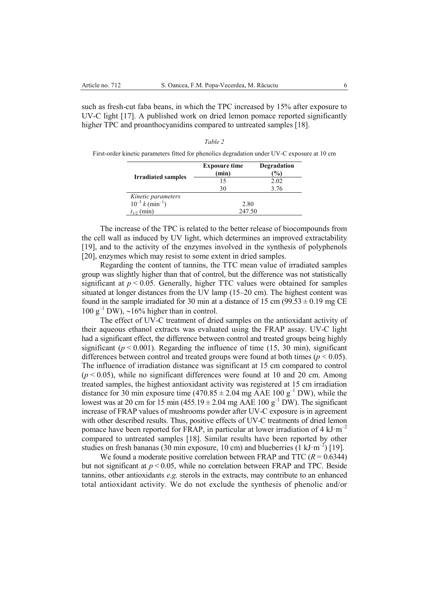such as fresh-cut faba beans, in which the TPC increased by 15% after exposure to UV-C light [17]. A published work on dried lemon pomace reported significantly higher TPC and proanthocyanidins compared to untreated samples [18].

|                                | <b>Exposure time</b><br>(min) | Degradation<br>(%) |  |  |
|--------------------------------|-------------------------------|--------------------|--|--|
| <b>Irradiated samples</b>      | 15                            | 2.02               |  |  |
|                                | 30                            | 3.76               |  |  |
| Kinetic parameters             |                               |                    |  |  |
| $10^{-3} k \text{ (min}^{-1})$ | 2.80                          |                    |  |  |
| (min)<br>$t_{1/2}$             | 247.50                        |                    |  |  |

*Table 2*  First-order kinetic parameters fitted for phenolics degradation under UV-C exposure at 10 cm

The increase of the TPC is related to the better release of biocompounds from the cell wall as induced by UV light, which determines an improved extractability [19], and to the activity of the enzymes involved in the synthesis of polyphenols [20], enzymes which may resist to some extent in dried samples.

Regarding the content of tannins, the TTC mean value of irradiated samples group was slightly higher than that of control, but the difference was not statistically significant at  $p < 0.05$ . Generally, higher TTC values were obtained for samples situated at longer distances from the UV lamp (15–20 cm). The highest content was found in the sample irradiated for 30 min at a distance of 15 cm  $(99.53 \pm 0.19 \text{ mg CE})$ 100  $g^{-1}$  DW), ~16% higher than in control.

The effect of UV-C treatment of dried samples on the antioxidant activity of their aqueous ethanol extracts was evaluated using the FRAP assay. UV-C light had a significant effect, the difference between control and treated groups being highly significant ( $p < 0.001$ ). Regarding the influence of time (15, 30 min), significant differences between control and treated groups were found at both times ( $p < 0.05$ ). The influence of irradiation distance was significant at 15 cm compared to control  $(p < 0.05)$ , while no significant differences were found at 10 and 20 cm. Among treated samples, the highest antioxidant activity was registered at 15 cm irradiation distance for 30 min exposure time  $(470.85 \pm 2.04 \text{ mg AAE } 100 \text{ g}^{-1}$  DW), while the lowest was at 20 cm for 15 min (455.19  $\pm$  2.04 mg AAE 100 g<sup>-1</sup> DW). The significant increase of FRAP values of mushrooms powder after UV-C exposure is in agreement with other described results. Thus, positive effects of UV-C treatments of dried lemon pomace have been reported for FRAP, in particular at lower irradiation of 4  $kJ·m^{-2}$ compared to untreated samples [18]. Similar results have been reported by other studies on fresh bananas (30 min exposure, 10 cm) and blueberries (1 kJ·m<sup>-2</sup>) [19].

We found a moderate positive correlation between FRAP and TTC  $(R = 0.6344)$ but not significant at  $p < 0.05$ , while no correlation between FRAP and TPC. Beside tannins, other antioxidants *e.g.* sterols in the extracts, may contribute to an enhanced total antioxidant activity. We do not exclude the synthesis of phenolic and/or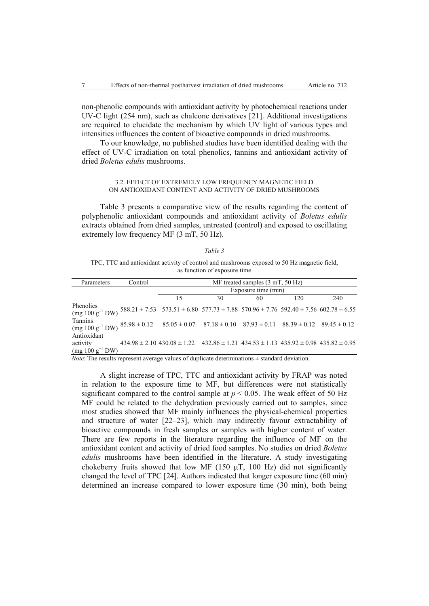non-phenolic compounds with antioxidant activity by photochemical reactions under UV-C light (254 nm), such as chalcone derivatives [21]. Additional investigations are required to elucidate the mechanism by which UV light of various types and intensities influences the content of bioactive compounds in dried mushrooms.

To our knowledge, no published studies have been identified dealing with the effect of UV-C irradiation on total phenolics, tannins and antioxidant activity of dried *Boletus edulis* mushrooms.

### 3.2. EFFECT OF EXTREMELY LOW FREQUENCY MAGNETIC FIELD ON ANTIOXIDANT CONTENT AND ACTIVITY OF DRIED MUSHROOMS

Table 3 presents a comparative view of the results regarding the content of polyphenolic antioxidant compounds and antioxidant activity of *Boletus edulis* extracts obtained from dried samples, untreated (control) and exposed to oscillating extremely low frequency MF (3 mT, 50 Hz).

#### *Table 3*

TPC, TTC and antioxidant activity of control and mushrooms exposed to 50 Hz magnetic field, as function of exposure time

| Parameters                                                                                                                                   | Control | MF treated samples $(3 \text{ mT}, 50 \text{ Hz})$                                                          |    |    |     |     |  |
|----------------------------------------------------------------------------------------------------------------------------------------------|---------|-------------------------------------------------------------------------------------------------------------|----|----|-----|-----|--|
|                                                                                                                                              |         | Exposure time (min)                                                                                         |    |    |     |     |  |
|                                                                                                                                              |         | 15                                                                                                          | 30 | 60 | 120 | 240 |  |
| Phenolics<br>$(mg 100 g^{-1} DW)$                                                                                                            |         | $588.21 \pm 7.53$ $573.51 \pm 6.80$ $577.73 \pm 7.88$ $570.96 \pm 7.76$ $592.40 \pm 7.56$ $602.78 \pm 6.55$ |    |    |     |     |  |
| Tannins<br>(mg 100 g <sup>-1</sup> DW) $85.98 \pm 0.12$ $85.05 \pm 0.07$ $87.18 \pm 0.10$ $87.93 \pm 0.11$ $88.39 \pm 0.12$ $89.45 \pm 0.12$ |         |                                                                                                             |    |    |     |     |  |
| Antioxidant<br>activity<br>$(mg 100 g^{-1} DW)$                                                                                              |         | $434.98 \pm 2.10$ $430.08 \pm 1.22$ $432.86 \pm 1.21$ $434.53 \pm 1.13$ $435.92 \pm 0.98$ $435.82 \pm 0.95$ |    |    |     |     |  |

*Note*: The results represent average values of duplicate determinations  $\pm$  standard deviation.

A slight increase of TPC, TTC and antioxidant activity by FRAP was noted in relation to the exposure time to MF, but differences were not statistically significant compared to the control sample at  $p < 0.05$ . The weak effect of 50 Hz MF could be related to the dehydration previously carried out to samples, since most studies showed that MF mainly influences the physical-chemical properties and structure of water [22–23], which may indirectly favour extractability of bioactive compounds in fresh samples or samples with higher content of water. There are few reports in the literature regarding the influence of MF on the antioxidant content and activity of dried food samples. No studies on dried *Boletus edulis* mushrooms have been identified in the literature. A study investigating chokeberry fruits showed that low MF (150  $\mu$ T, 100 Hz) did not significantly changed the level of TPC [24]. Authors indicated that longer exposure time (60 min) determined an increase compared to lower exposure time (30 min), both being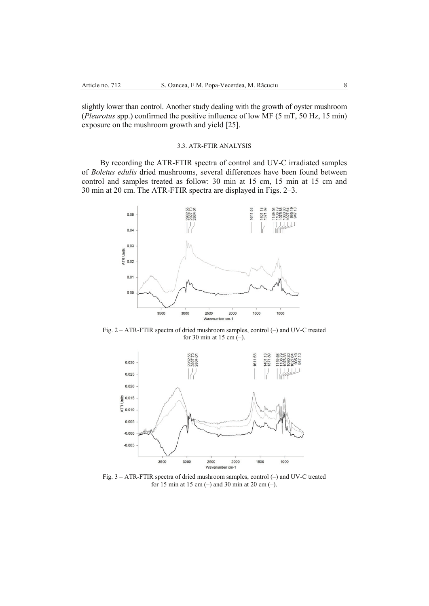slightly lower than control. Another study dealing with the growth of oyster mushroom (*Pleurotus* spp.) confirmed the positive influence of low MF (5 mT, 50 Hz, 15 min) exposure on the mushroom growth and yield [25].

## 3.3. ATR-FTIR ANALYSIS

By recording the ATR-FTIR spectra of control and UV-C irradiated samples of *Boletus edulis* dried mushrooms, several differences have been found between control and samples treated as follow: 30 min at 15 cm, 15 min at 15 cm and 30 min at 20 cm. The ATR-FTIR spectra are displayed in Figs. 2–3.



Fig. 2 – ATR-FTIR spectra of dried mushroom samples, control (–) and UV-C treated for 30 min at 15 cm  $(-)$ .



Fig. 3 – ATR-FTIR spectra of dried mushroom samples, control (–) and UV-C treated for 15 min at 15 cm (**–**) and 30 min at 20 cm (–).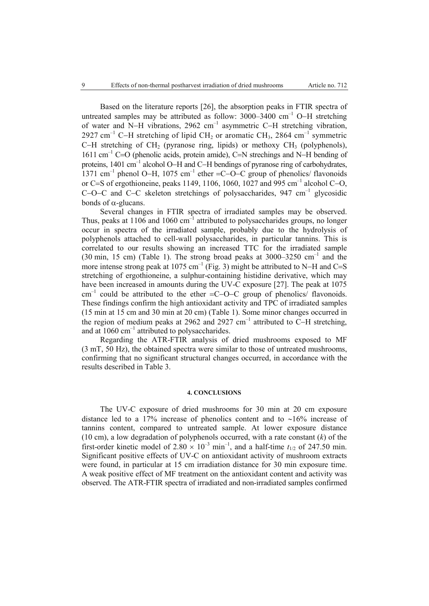Based on the literature reports [26], the absorption peaks in FTIR spectra of untreated samples may be attributed as follow:  $3000-3400$  cm<sup>-1</sup> O-H stretching of water and N-H vibrations, 2962 cm<sup>-1</sup> asymmetric C-H stretching vibration, 2927 cm<sup>-1</sup> C-H stretching of lipid CH<sub>2</sub> or aromatic CH<sub>3</sub>, 2864 cm<sup>-1</sup> symmetric C-H stretching of CH<sub>2</sub> (pyranose ring, lipids) or methoxy CH<sub>3</sub> (polyphenols),  $1611 \text{ cm}^{-1}$  C=O (phenolic acids, protein amide), C=N strechings and N-H bending of proteins, 1401 cm<sup>-1</sup> alcohol O-H and C-H bendings of pyranose ring of carbohydrates, 1371 cm<sup>-1</sup> phenol O-H, 1075 cm<sup>-1</sup> ether =C-O-C group of phenolics/ flavonoids or C=S of ergothioneine, peaks 1149, 1106, 1060, 1027 and 995 cm<sup>-1</sup> alcohol C-O, C-O-C and C-C skeleton stretchings of polysaccharides, 947 cm<sup>-1</sup> glycosidic bonds of  $\alpha$ -glucans.

Several changes in FTIR spectra of irradiated samples may be observed. Thus, peaks at  $1106$  and  $1060 \text{ cm}^{-1}$  attributed to polysaccharides groups, no longer occur in spectra of the irradiated sample, probably due to the hydrolysis of polyphenols attached to cell-wall polysaccharides, in particular tannins. This is correlated to our results showing an increased TTC for the irradiated sample (30 min, 15 cm) (Table 1). The strong broad peaks at 3000–3250 cm<sup>-1</sup> and the more intense strong peak at 1075 cm<sup>-1</sup> (Fig. 3) might be attributed to N-H and C=S stretching of ergothioneine, a sulphur-containing histidine derivative, which may have been increased in amounts during the UV-C exposure [27]. The peak at 1075  $cm<sup>-1</sup>$  could be attributed to the ether  $=$ C $-$ O $-$ C group of phenolics/ flavonoids. These findings confirm the high antioxidant activity and TPC of irradiated samples (15 min at 15 cm and 30 min at 20 cm) (Table 1). Some minor changes occurred in the region of medium peaks at 2962 and 2927  $cm^{-1}$  attributed to C-H stretching, and at  $1060 \text{ cm}^{-1}$  attributed to polysaccharides.

Regarding the ATR-FTIR analysis of dried mushrooms exposed to MF (3 mT, 50 Hz), the obtained spectra were similar to those of untreated mushrooms, confirming that no significant structural changes occurred, in accordance with the results described in Table 3.

#### **4. CONCLUSIONS**

The UV-C exposure of dried mushrooms for 30 min at 20 cm exposure distance led to a 17% increase of phenolics content and to  $~16\%$  increase of tannins content, compared to untreated sample. At lower exposure distance (10 cm), a low degradation of polyphenols occurred, with a rate constant (*k*) of the first-order kinetic model of  $2.80 \times 10^{-3}$  min<sup>-1</sup>, and a half-time  $t_{1/2}$  of 247.50 min. Significant positive effects of UV-C on antioxidant activity of mushroom extracts were found, in particular at 15 cm irradiation distance for 30 min exposure time. A weak positive effect of MF treatment on the antioxidant content and activity was observed. The ATR-FTIR spectra of irradiated and non-irradiated samples confirmed